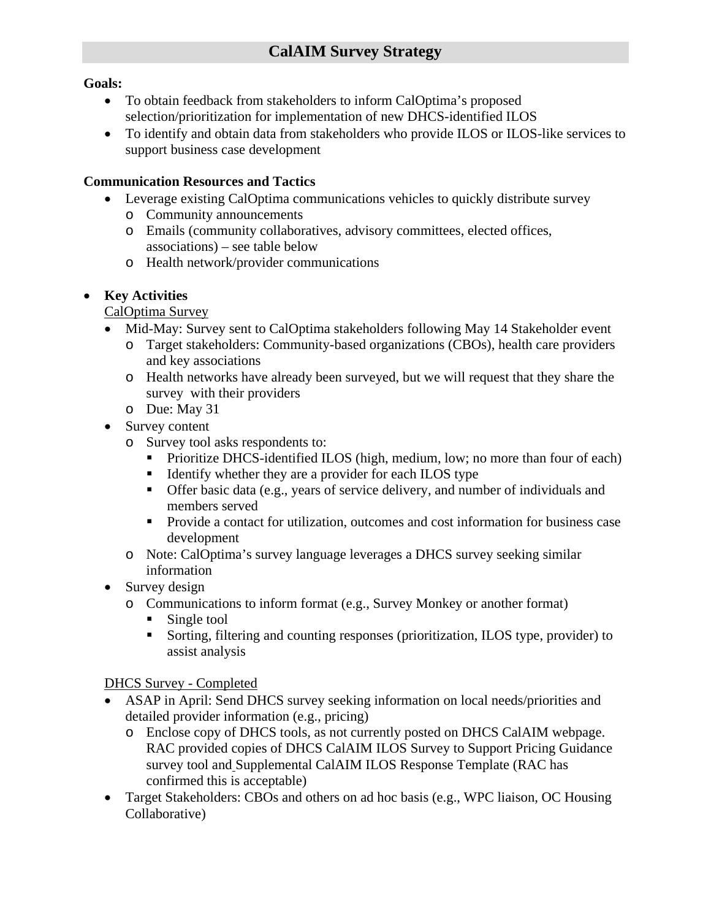### **Goals:**

- To obtain feedback from stakeholders to inform CalOptima's proposed selection/prioritization for implementation of new DHCS-identified ILOS
- To identify and obtain data from stakeholders who provide ILOS or ILOS-like services to support business case development

#### **Communication Resources and Tactics**

- Leverage existing CalOptima communications vehicles to quickly distribute survey
	- o Community announcements
	- o Emails (community collaboratives, advisory committees, elected offices, associations) – see table below
	- o Health network/provider communications

#### • **Key Activities**

CalOptima Survey

- Mid-May: Survey sent to CalOptima stakeholders following May 14 Stakeholder event
	- o Target stakeholders: Community-based organizations (CBOs), health care providers and key associations
	- o Health networks have already been surveyed, but we will request that they share the survey with their providers
	- o Due: May 31
- Survey content
	- o Survey tool asks respondents to:
		- Prioritize DHCS-identified ILOS (high, medium, low; no more than four of each)
		- Identify whether they are a provider for each ILOS type
		- Offer basic data (e.g., years of service delivery, and number of individuals and members served
		- Provide a contact for utilization, outcomes and cost information for business case development
	- o Note: CalOptima's survey language leverages a DHCS survey seeking similar information
- Survey design
	- o Communications to inform format (e.g., Survey Monkey or another format)
		- Single tool
		- Sorting, filtering and counting responses (prioritization, ILOS type, provider) to assist analysis

### DHCS Survey - Completed

- ASAP in April: Send DHCS survey seeking information on local needs/priorities and detailed provider information (e.g., pricing)
	- o Enclose copy of DHCS tools, as not currently posted on DHCS CalAIM webpage. RAC provided copies of DHCS CalAIM ILOS Survey to Support Pricing Guidance survey tool and Supplemental CalAIM ILOS Response Template (RAC has confirmed this is acceptable)
- Target Stakeholders: CBOs and others on ad hoc basis (e.g., WPC liaison, OC Housing Collaborative)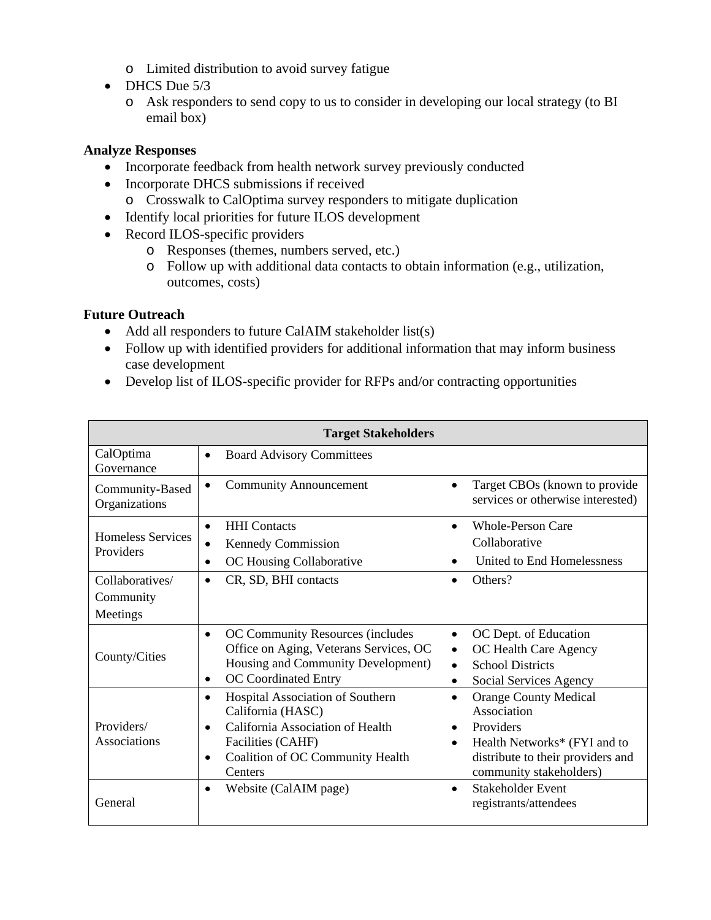- o Limited distribution to avoid survey fatigue
- DHCS Due 5/3
	- o Ask responders to send copy to us to consider in developing our local strategy (to BI email box)

## **Analyze Responses**

- Incorporate feedback from health network survey previously conducted
- Incorporate DHCS submissions if received
	- o Crosswalk to CalOptima survey responders to mitigate duplication
- Identify local priorities for future ILOS development
- Record ILOS-specific providers
	- o Responses (themes, numbers served, etc.)
	- o Follow up with additional data contacts to obtain information (e.g., utilization, outcomes, costs)

# **Future Outreach**

- Add all responders to future CalAIM stakeholder list(s)
- Follow up with identified providers for additional information that may inform business case development
- Develop list of ILOS-specific provider for RFPs and/or contracting opportunities

| <b>Target Stakeholders</b>               |                                                                                                                                                                                                      |                                                                                                                                                                                    |  |
|------------------------------------------|------------------------------------------------------------------------------------------------------------------------------------------------------------------------------------------------------|------------------------------------------------------------------------------------------------------------------------------------------------------------------------------------|--|
| CalOptima<br>Governance                  | <b>Board Advisory Committees</b><br>$\bullet$                                                                                                                                                        |                                                                                                                                                                                    |  |
| Community-Based<br>Organizations         | <b>Community Announcement</b>                                                                                                                                                                        | Target CBOs (known to provide<br>$\bullet$<br>services or otherwise interested)                                                                                                    |  |
| <b>Homeless Services</b><br>Providers    | <b>HHI</b> Contacts<br>$\bullet$<br>Kennedy Commission<br>OC Housing Collaborative<br>$\bullet$                                                                                                      | <b>Whole-Person Care</b><br>Collaborative<br>United to End Homelessness                                                                                                            |  |
| Collaboratives/<br>Community<br>Meetings | CR, SD, BHI contacts<br>$\bullet$                                                                                                                                                                    | Others?<br>$\bullet$                                                                                                                                                               |  |
| County/Cities                            | OC Community Resources (includes<br>$\bullet$<br>Office on Aging, Veterans Services, OC<br>Housing and Community Development)<br>OC Coordinated Entry<br>$\bullet$                                   | OC Dept. of Education<br>$\bullet$<br>OC Health Care Agency<br>$\bullet$<br><b>School Districts</b><br>$\bullet$<br>Social Services Agency<br>$\bullet$                            |  |
| Providers/<br><b>Associations</b>        | Hospital Association of Southern<br>$\bullet$<br>California (HASC)<br>California Association of Health<br>$\bullet$<br>Facilities (CAHF)<br>Coalition of OC Community Health<br>$\bullet$<br>Centers | <b>Orange County Medical</b><br>$\bullet$<br>Association<br>Providers<br>$\bullet$<br>Health Networks* (FYI and to<br>distribute to their providers and<br>community stakeholders) |  |
| General                                  | Website (CalAIM page)<br>$\bullet$                                                                                                                                                                   | <b>Stakeholder Event</b><br>$\bullet$<br>registrants/attendees                                                                                                                     |  |